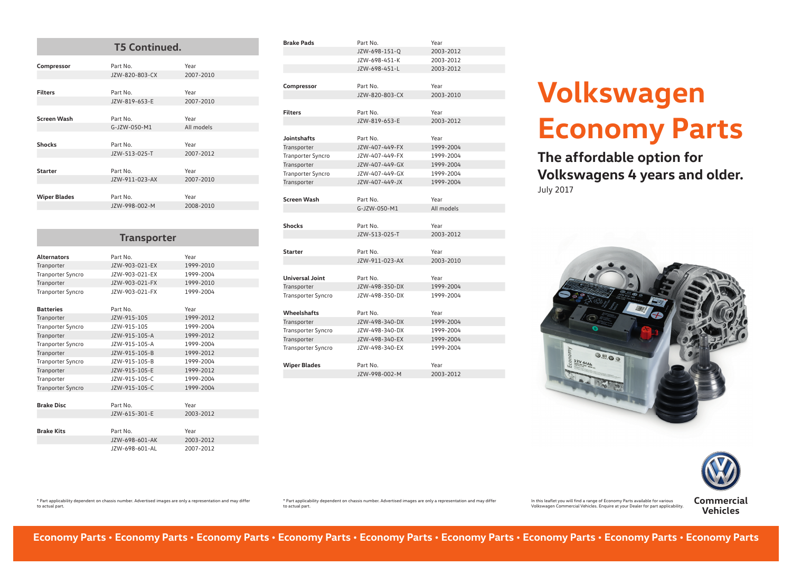| <b>T5 Continued.</b> |                |            |  |
|----------------------|----------------|------------|--|
| Compressor           | Part No.       | Year       |  |
|                      | JZW-820-803-CX | 2007-2010  |  |
|                      |                |            |  |
| <b>Filters</b>       | Part No.       | Year       |  |
|                      | JZW-819-653-E  | 2007-2010  |  |
|                      |                |            |  |
| <b>Screen Wash</b>   | Part No.       | Year       |  |
|                      | G-JZW-050-M1   | All models |  |
|                      |                |            |  |
| <b>Shocks</b>        | Part No.       | Year       |  |
|                      | JZW-513-025-T  | 2007-2012  |  |
|                      |                |            |  |
| <b>Starter</b>       | Part No.       | Year       |  |
|                      | JZW-911-023-AX | 2007-2010  |  |
|                      |                |            |  |
| <b>Wiper Blades</b>  | Part No.       | Year       |  |
|                      | JZW-998-002-M  | 2008-2010  |  |
|                      |                |            |  |
|                      |                |            |  |

| <b>Transporter</b>       |                |           |
|--------------------------|----------------|-----------|
| <b>Alternators</b>       | Part No.       | Year      |
| Tranporter               | JZW-903-021-EX | 1999-2010 |
| Tranporter Syncro        | JZW-903-021-EX | 1999-2004 |
| Tranporter               | JZW-903-021-FX | 1999-2010 |
| Tranporter Syncro        | JZW-903-021-FX | 1999-2004 |
| <b>Batteries</b>         | Part No.       | Year      |
| Tranporter               | JZW-915-105    | 1999-2012 |
| Tranporter Syncro        | JZW-915-105    | 1999-2004 |
| Tranporter               | JZW-915-105-A  | 1999-2012 |
| <b>Tranporter Syncro</b> | JZW-915-105-A  | 1999-2004 |
| Tranporter               | JZW-915-105-B  | 1999-2012 |
| Tranporter Syncro        | JZW-915-105-B  | 1999-2004 |
| Tranporter               | JZW-915-105-E  | 1999-2012 |
| Tranporter               | JZW-915-105-C  | 1999-2004 |
| <b>Tranporter Syncro</b> | JZW-915-105-C  | 1999-2004 |
|                          |                |           |
| <b>Brake Disc</b>        | Part No.       | Year      |
|                          | JZW-615-301-E  | 2003-2012 |
|                          |                |           |
| <b>Brake Kits</b>        | Part No.       | Year      |
|                          | JZW-698-601-AK | 2003-2012 |
|                          | JZW-698-601-AL | 2007-2012 |

| <b>Brake Pads</b>         | Part No.       | Year       |  |
|---------------------------|----------------|------------|--|
|                           | JZW-698-151-Q  | 2003-2012  |  |
|                           | JZW-698-451-K  | 2003-2012  |  |
|                           | JZW-698-451-L  | 2003-2012  |  |
|                           |                |            |  |
| Compressor                | Part No.       | Year       |  |
|                           | JZW-820-803-CX | 2003-2010  |  |
| <b>Filters</b>            | Part No.       | Year       |  |
|                           | JZW-819-653-E  | 2003-2012  |  |
|                           |                |            |  |
| Jointshafts               | Part No.       | Year       |  |
| Transporter               | JZW-407-449-FX | 1999-2004  |  |
| <b>Tranporter Syncro</b>  | JZW-407-449-FX | 1999-2004  |  |
| Transporter               | JZW-407-449-GX | 1999-2004  |  |
| <b>Tranporter Syncro</b>  | JZW-407-449-GX | 1999-2004  |  |
| Transporter               | JZW-407-449-JX | 1999-2004  |  |
|                           |                |            |  |
| <b>Screen Wash</b>        | Part No.       | Year       |  |
|                           | G-JZW-050-M1   | All models |  |
|                           |                |            |  |
| <b>Shocks</b>             | Part No.       | Year       |  |
|                           | JZW-513-025-T  | 2003-2012  |  |
| <b>Starter</b>            | Part No.       | Year       |  |
|                           | JZW-911-023-AX | 2003-2010  |  |
|                           |                |            |  |
| <b>Universal Joint</b>    | Part No.       | Year       |  |
| Transporter               | JZW-498-350-DX | 1999-2004  |  |
| <b>Transporter Syncro</b> | JZW-498-350-DX | 1999-2004  |  |
|                           |                |            |  |
| <b>Wheelshafts</b>        | Part No.       | Year       |  |
| Transporter               | JZW-498-340-DX | 1999-2004  |  |
| <b>Transporter Syncro</b> | JZW-498-340-DX | 1999-2004  |  |
| Transporter               | JZW-498-340-EX | 1999-2004  |  |
| <b>Transporter Syncro</b> | JZW-498-340-EX | 1999-2004  |  |
| <b>Wiper Blades</b>       | Part No.       | Year       |  |
|                           | JZW-998-002-M  | 2003-2012  |  |
|                           |                |            |  |

# **Volkswagen Economy Parts**

July 2017 **The affordable option for Volkswagens 4 years and older.**





\* Part applicability dependent on chassis number. Advertised images are only a representation and may differ to actual part.

\* Part applicability dependent on chassis number. Advertised images are only a representation and may differ to actual part.

In this leaflet you will find a range of Economy Parts available for various Volkswagen Commercial Vehicles. Enquire at your Dealer for part applicability.



**Economy Parts • Economy Parts • Economy Parts • Economy Parts • Economy Parts • Economy Parts • Economy Parts • Economy Parts • Economy Parts**